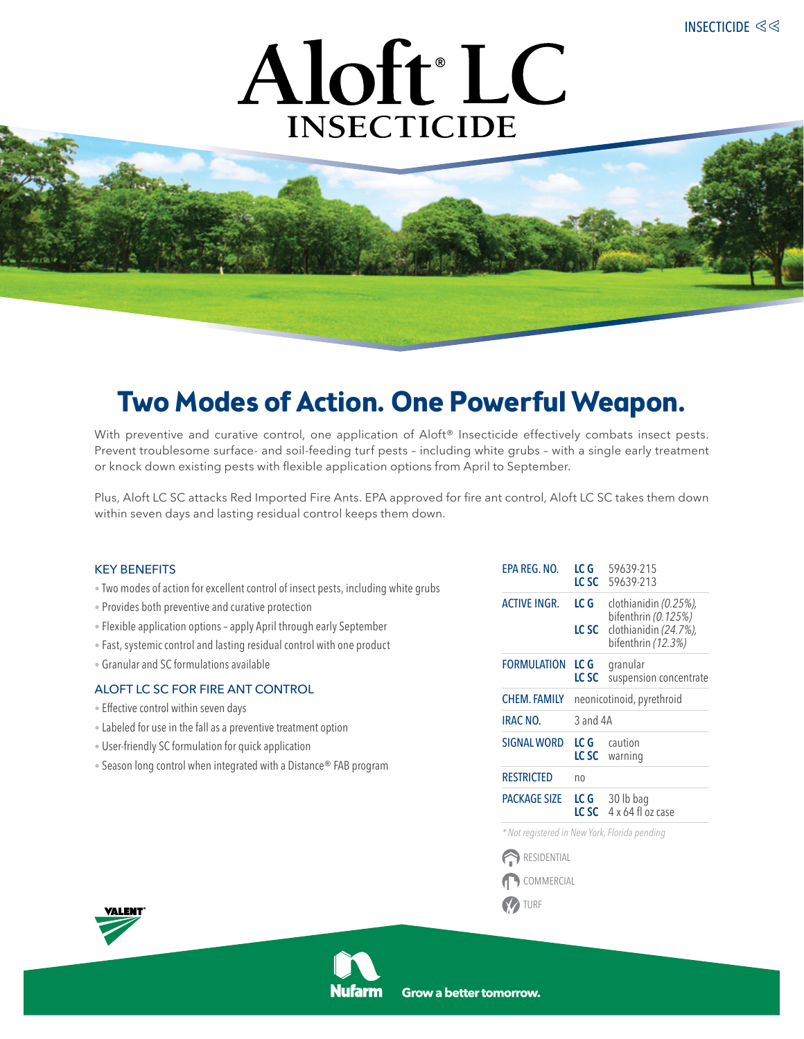

# **Two Modes of Action. One Powerful Weapon.**

With preventive and curative control, one application of Aloft<sup>®</sup> Insecticide effectively combats insect pests. Prevent troublesome surface- and soil-feeding turf pests – including white grubs – with a single early treatment or knock down existing pests with flexible application options from April to September.

Plus, Aloft LC SC attacks Red Imported Fire Ants. EPA approved for fire ant control, Aloft LC SC takes them down within seven days and lasting residual control keeps them down.

## KEY BENEFITS

- Two modes of action for excellent control of insect pests, including white grubs
- Provides both preventive and curative protection
- Flexible application options apply April through early September
- Fast, systemic control and lasting residual control with one product
- Granular and SC formulations available

## ALOFT LC SC for Fire Ant Control

- Effective control within seven days
- Labeled for use in the fall as a preventive treatment option
- User-friendly SC formulation for quick application
- Season long control when integrated with a Distance® FAB program

| EPA REG. NO.                                                              | LC G<br>LC SC             | 59639-215<br>59639-213                                                                      |  |  |
|---------------------------------------------------------------------------|---------------------------|---------------------------------------------------------------------------------------------|--|--|
| <b>ACTIVE INGR.</b>                                                       | LC G<br>LC SC             | clothianidin (0.25%),<br>bifenthrin (0.125%)<br>clothianidin (24.7%),<br>bifenthrin (12.3%) |  |  |
| FORMULATION                                                               | LC G<br>LC SC             | granular<br>suspension concentrate                                                          |  |  |
| <b>CHEM. FAMILY</b>                                                       | neonicotinoid, pyrethroid |                                                                                             |  |  |
| <b>IRAC NO.</b>                                                           | 3 and 4A                  |                                                                                             |  |  |
| <b>SIGNAL WORD</b>                                                        | LC G                      | caution<br>LC SC warning                                                                    |  |  |
| <b>RESTRICTED</b>                                                         | no                        |                                                                                             |  |  |
| <b>PACKAGE SIZE</b>                                                       |                           | LC G 30 lb bag<br>LC SC $4 \times 64$ floz case                                             |  |  |
| + Material at the second the Material Material Classical Communication of |                           |                                                                                             |  |  |

*\*Not registered in New York, Florida pending*

**RESIDENTIAL** COMMERCIAL **Y** TURF